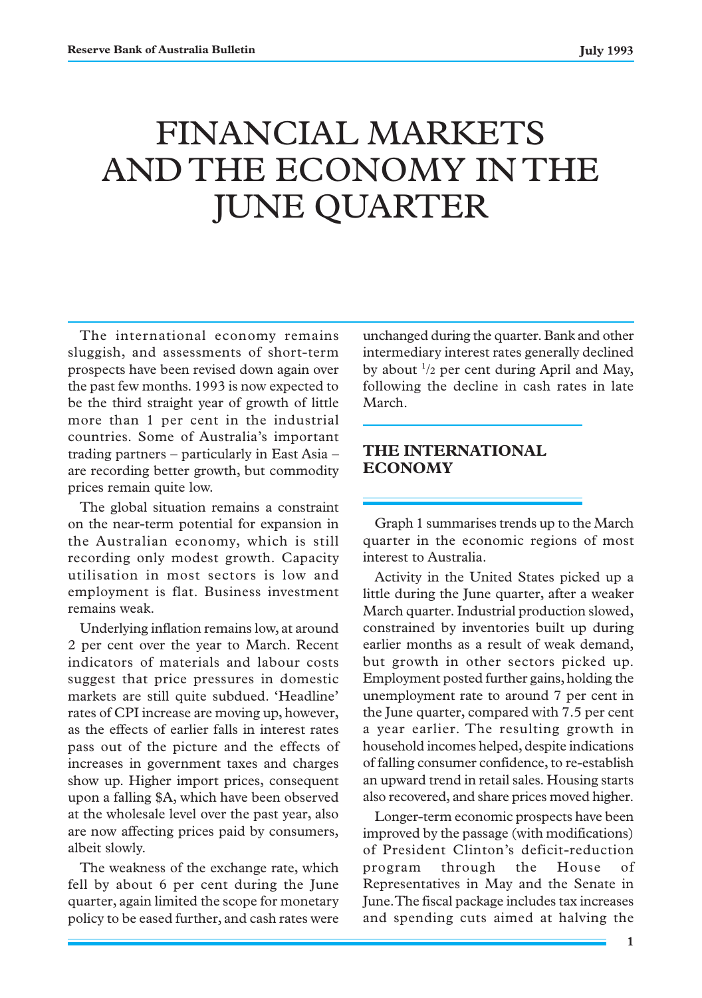# FINANCIAL MARKETS AND THE ECONOMY IN THE JUNE QUARTER

The international economy remains sluggish, and assessments of short-term prospects have been revised down again over the past few months. 1993 is now expected to be the third straight year of growth of little more than 1 per cent in the industrial countries. Some of Australia's important trading partners – particularly in East Asia – are recording better growth, but commodity prices remain quite low.

The global situation remains a constraint on the near-term potential for expansion in the Australian economy, which is still recording only modest growth. Capacity utilisation in most sectors is low and employment is flat. Business investment remains weak.

Underlying inflation remains low, at around 2 per cent over the year to March. Recent indicators of materials and labour costs suggest that price pressures in domestic markets are still quite subdued. 'Headline' rates of CPI increase are moving up, however, as the effects of earlier falls in interest rates pass out of the picture and the effects of increases in government taxes and charges show up. Higher import prices, consequent upon a falling \$A, which have been observed at the wholesale level over the past year, also are now affecting prices paid by consumers, albeit slowly.

The weakness of the exchange rate, which fell by about 6 per cent during the June quarter, again limited the scope for monetary policy to be eased further, and cash rates were

unchanged during the quarter. Bank and other intermediary interest rates generally declined by about  $\frac{1}{2}$  per cent during April and May, following the decline in cash rates in late March.

# **THE INTERNATIONAL ECONOMY**

Graph 1 summarises trends up to the March quarter in the economic regions of most interest to Australia.

Activity in the United States picked up a little during the June quarter, after a weaker March quarter. Industrial production slowed, constrained by inventories built up during earlier months as a result of weak demand, but growth in other sectors picked up. Employment posted further gains, holding the unemployment rate to around 7 per cent in the June quarter, compared with 7.5 per cent a year earlier. The resulting growth in household incomes helped, despite indications of falling consumer confidence, to re-establish an upward trend in retail sales. Housing starts also recovered, and share prices moved higher.

Longer-term economic prospects have been improved by the passage (with modifications) of President Clinton's deficit-reduction program through the House of Representatives in May and the Senate in June. The fiscal package includes tax increases and spending cuts aimed at halving the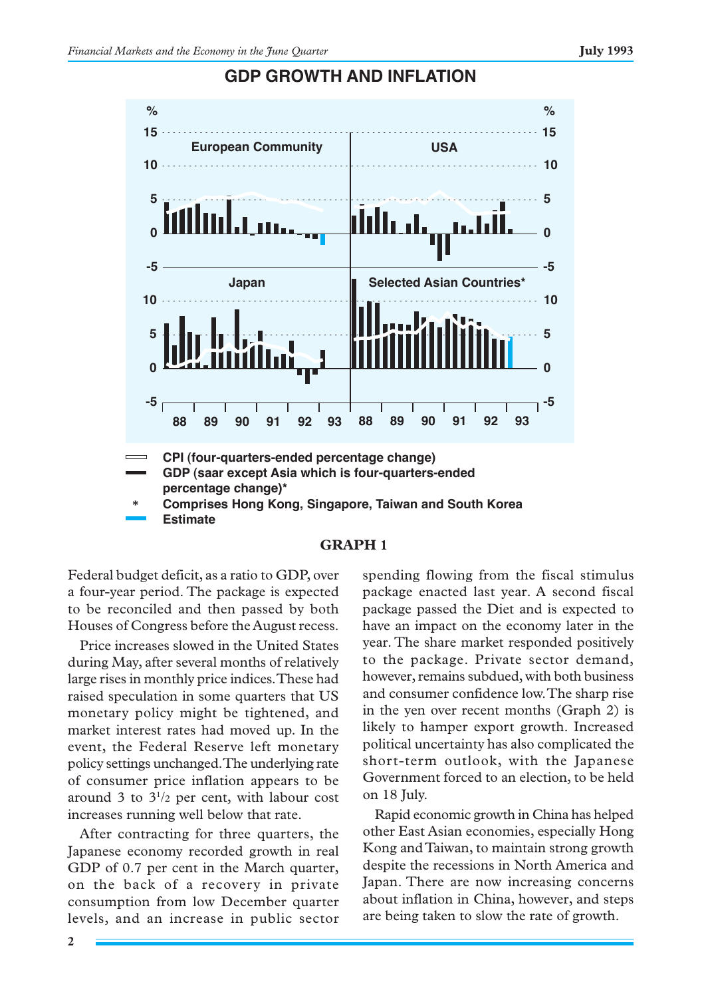

# **GDP GROWTH AND INFLATION**



Federal budget deficit, as a ratio to GDP, over a four-year period. The package is expected to be reconciled and then passed by both Houses of Congress before the August recess.

Price increases slowed in the United States during May, after several months of relatively large rises in monthly price indices. These had raised speculation in some quarters that US monetary policy might be tightened, and market interest rates had moved up. In the event, the Federal Reserve left monetary policy settings unchanged. The underlying rate of consumer price inflation appears to be around 3 to  $3^{1/2}$  per cent, with labour cost increases running well below that rate.

After contracting for three quarters, the Japanese economy recorded growth in real GDP of 0.7 per cent in the March quarter, on the back of a recovery in private consumption from low December quarter levels, and an increase in public sector spending flowing from the fiscal stimulus package enacted last year. A second fiscal package passed the Diet and is expected to have an impact on the economy later in the year. The share market responded positively to the package. Private sector demand, however, remains subdued, with both business and consumer confidence low. The sharp rise in the yen over recent months (Graph 2) is likely to hamper export growth. Increased political uncertainty has also complicated the short-term outlook, with the Japanese Government forced to an election, to be held on 18 July.

Rapid economic growth in China has helped other East Asian economies, especially Hong Kong and Taiwan, to maintain strong growth despite the recessions in North America and Japan. There are now increasing concerns about inflation in China, however, and steps are being taken to slow the rate of growth.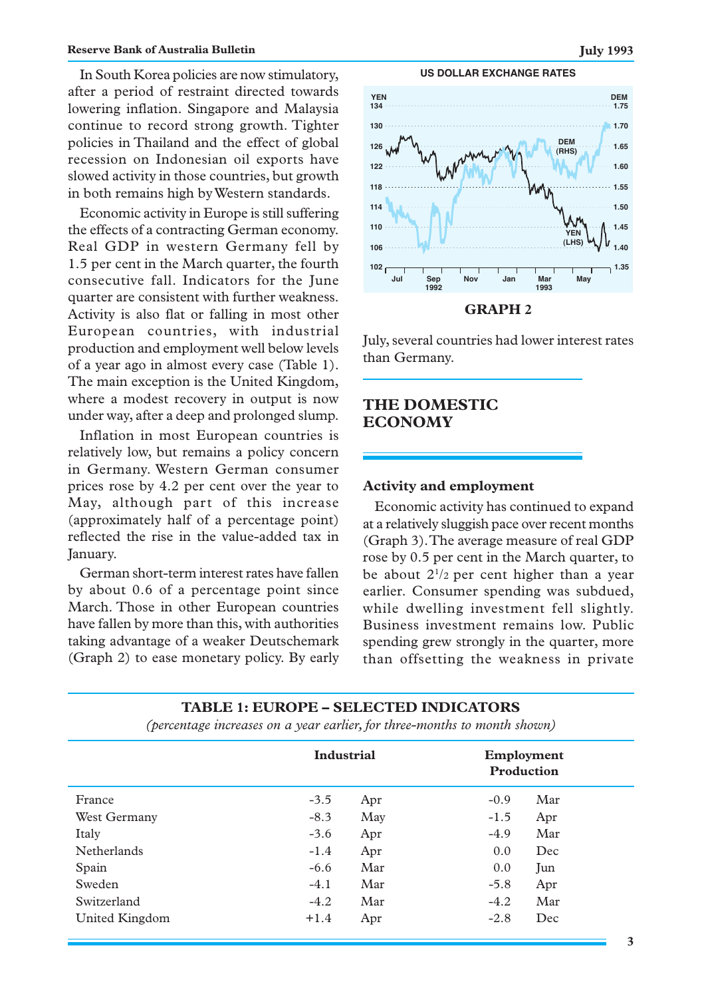In South Korea policies are now stimulatory, after a period of restraint directed towards lowering inflation. Singapore and Malaysia continue to record strong growth. Tighter policies in Thailand and the effect of global recession on Indonesian oil exports have slowed activity in those countries, but growth in both remains high by Western standards.

Economic activity in Europe is still suffering the effects of a contracting German economy. Real GDP in western Germany fell by 1.5 per cent in the March quarter, the fourth consecutive fall. Indicators for the June quarter are consistent with further weakness. Activity is also flat or falling in most other European countries, with industrial production and employment well below levels of a year ago in almost every case (Table 1). The main exception is the United Kingdom, where a modest recovery in output is now under way, after a deep and prolonged slump.

Inflation in most European countries is relatively low, but remains a policy concern in Germany. Western German consumer prices rose by 4.2 per cent over the year to May, although part of this increase (approximately half of a percentage point) reflected the rise in the value-added tax in January.

German short-term interest rates have fallen by about 0.6 of a percentage point since March. Those in other European countries have fallen by more than this, with authorities taking advantage of a weaker Deutschemark (Graph 2) to ease monetary policy. By early







July, several countries had lower interest rates than Germany.

# **THE DOMESTIC ECONOMY**

# **Activity and employment**

Economic activity has continued to expand at a relatively sluggish pace over recent months (Graph 3). The average measure of real GDP rose by 0.5 per cent in the March quarter, to be about  $2^{1/2}$  per cent higher than a year earlier. Consumer spending was subdued, while dwelling investment fell slightly. Business investment remains low. Public spending grew strongly in the quarter, more than offsetting the weakness in private

### **TABLE 1: EUROPE – SELECTED INDICATORS**

|                    | Industrial |     | Employment<br>Production |     |  |
|--------------------|------------|-----|--------------------------|-----|--|
| France             | $-3.5$     | Apr | $-0.9$                   | Mar |  |
| West Germany       | $-8.3$     | May | $-1.5$                   | Apr |  |
| Italy              | $-3.6$     | Apr | $-4.9$                   | Mar |  |
| <b>Netherlands</b> | $-1.4$     | Apr | 0.0                      | Dec |  |
| Spain              | $-6.6$     | Mar | 0.0                      | Jun |  |
| Sweden             | $-4.1$     | Mar | $-5.8$                   | Apr |  |
| Switzerland        | $-4.2$     | Mar | $-4.2$                   | Mar |  |
| United Kingdom     | $+1.4$     | Apr | $-2.8$                   | Dec |  |

*(percentage increases on a year earlier, for three-months to month shown)*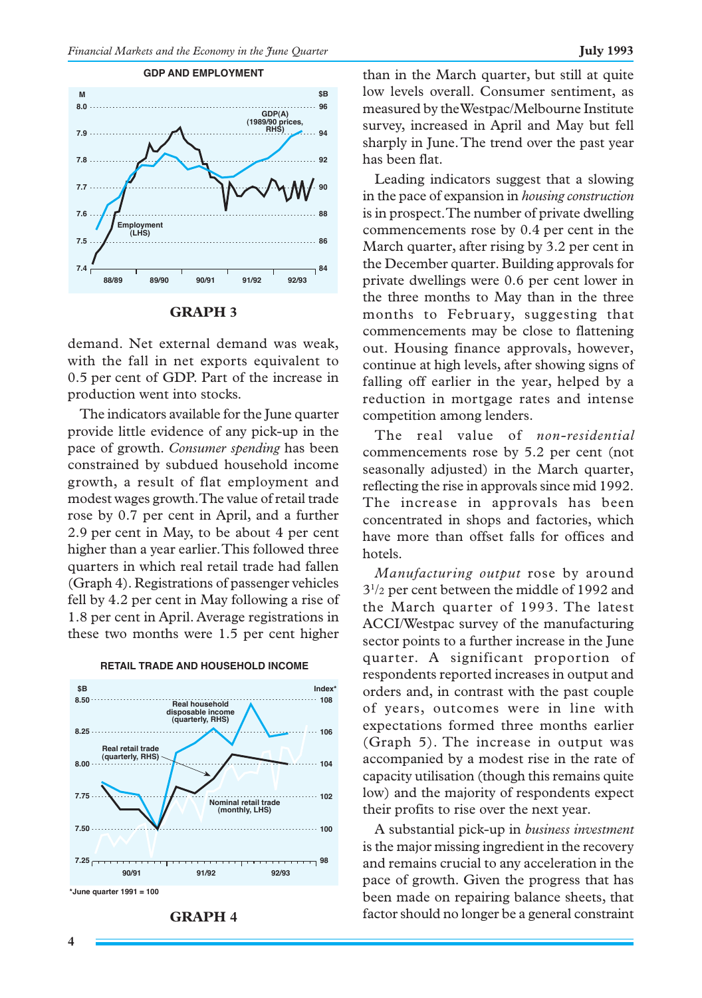



#### **GRAPH 3**

demand. Net external demand was weak, with the fall in net exports equivalent to 0.5 per cent of GDP. Part of the increase in production went into stocks.

The indicators available for the June quarter provide little evidence of any pick-up in the pace of growth. *Consumer spending* has been constrained by subdued household income growth, a result of flat employment and modest wages growth. The value of retail trade rose by 0.7 per cent in April, and a further 2.9 per cent in May, to be about 4 per cent higher than a year earlier. This followed three quarters in which real retail trade had fallen (Graph 4). Registrations of passenger vehicles fell by 4.2 per cent in May following a rise of 1.8 per cent in April. Average registrations in these two months were 1.5 per cent higher



#### **RETAIL TRADE AND HOUSEHOLD INCOME**

**GRAPH 4**

than in the March quarter, but still at quite low levels overall. Consumer sentiment, as measured by the Westpac/Melbourne Institute survey, increased in April and May but fell sharply in June. The trend over the past year has been flat.

Leading indicators suggest that a slowing in the pace of expansion in *housing construction* is in prospect. The number of private dwelling commencements rose by 0.4 per cent in the March quarter, after rising by 3.2 per cent in the December quarter. Building approvals for private dwellings were 0.6 per cent lower in the three months to May than in the three months to February, suggesting that commencements may be close to flattening out. Housing finance approvals, however, continue at high levels, after showing signs of falling off earlier in the year, helped by a reduction in mortgage rates and intense competition among lenders.

The real value of *non-residential* commencements rose by 5.2 per cent (not seasonally adjusted) in the March quarter, reflecting the rise in approvals since mid 1992. The increase in approvals has been concentrated in shops and factories, which have more than offset falls for offices and hotels.

*Manufacturing output* rose by around 31 /2 per cent between the middle of 1992 and the March quarter of 1993. The latest ACCI/Westpac survey of the manufacturing sector points to a further increase in the June quarter. A significant proportion of respondents reported increases in output and orders and, in contrast with the past couple of years, outcomes were in line with expectations formed three months earlier (Graph 5). The increase in output was accompanied by a modest rise in the rate of capacity utilisation (though this remains quite low) and the majority of respondents expect their profits to rise over the next year.

A substantial pick-up in *business investment* is the major missing ingredient in the recovery and remains crucial to any acceleration in the pace of growth. Given the progress that has been made on repairing balance sheets, that factor should no longer be a general constraint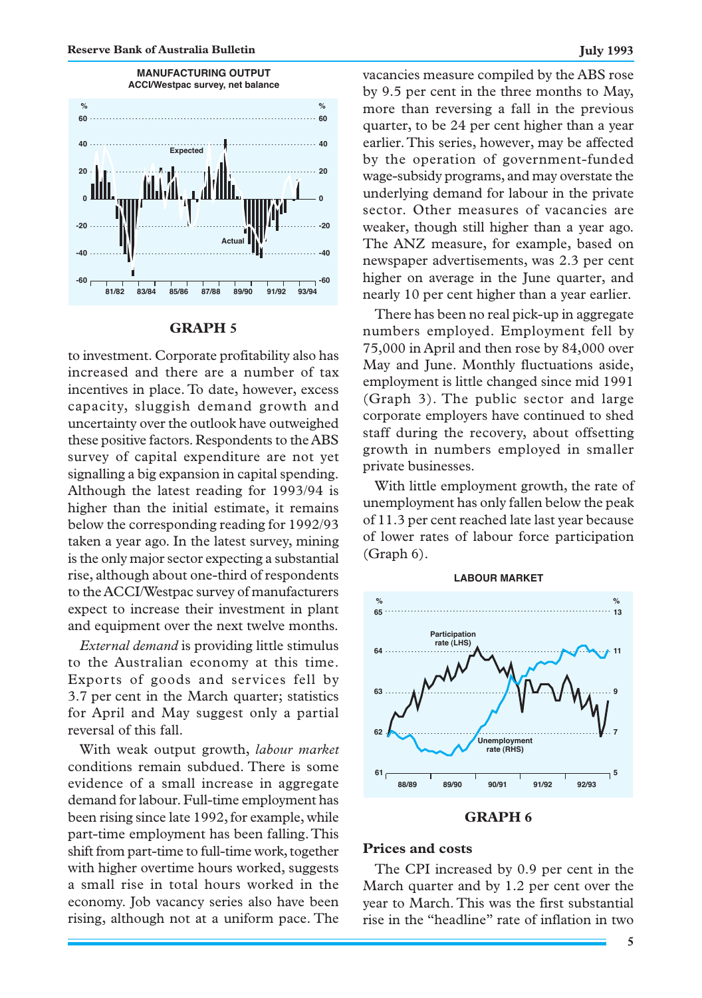

# **GRAPH 5**

to investment. Corporate profitability also has increased and there are a number of tax incentives in place. To date, however, excess capacity, sluggish demand growth and uncertainty over the outlook have outweighed these positive factors. Respondents to the ABS survey of capital expenditure are not yet signalling a big expansion in capital spending. Although the latest reading for 1993/94 is higher than the initial estimate, it remains below the corresponding reading for 1992/93 taken a year ago. In the latest survey, mining is the only major sector expecting a substantial rise, although about one-third of respondents to the ACCI/Westpac survey of manufacturers expect to increase their investment in plant and equipment over the next twelve months.

*External demand* is providing little stimulus to the Australian economy at this time. Exports of goods and services fell by 3.7 per cent in the March quarter; statistics for April and May suggest only a partial reversal of this fall.

With weak output growth, *labour market* conditions remain subdued. There is some evidence of a small increase in aggregate demand for labour. Full-time employment has been rising since late 1992, for example, while part-time employment has been falling. This shift from part-time to full-time work, together with higher overtime hours worked, suggests a small rise in total hours worked in the economy. Job vacancy series also have been rising, although not at a uniform pace. The vacancies measure compiled by the ABS rose by 9.5 per cent in the three months to May, more than reversing a fall in the previous quarter, to be 24 per cent higher than a year earlier. This series, however, may be affected by the operation of government-funded wage-subsidy programs, and may overstate the underlying demand for labour in the private sector. Other measures of vacancies are weaker, though still higher than a year ago. The ANZ measure, for example, based on newspaper advertisements, was 2.3 per cent higher on average in the June quarter, and nearly 10 per cent higher than a year earlier.

There has been no real pick-up in aggregate numbers employed. Employment fell by 75,000 in April and then rose by 84,000 over May and June. Monthly fluctuations aside, employment is little changed since mid 1991 (Graph 3). The public sector and large corporate employers have continued to shed staff during the recovery, about offsetting growth in numbers employed in smaller private businesses.

With little employment growth, the rate of unemployment has only fallen below the peak of 11.3 per cent reached late last year because of lower rates of labour force participation (Graph 6).



#### **GRAPH 6**

#### **Prices and costs**

The CPI increased by 0.9 per cent in the March quarter and by 1.2 per cent over the year to March. This was the first substantial rise in the "headline" rate of inflation in two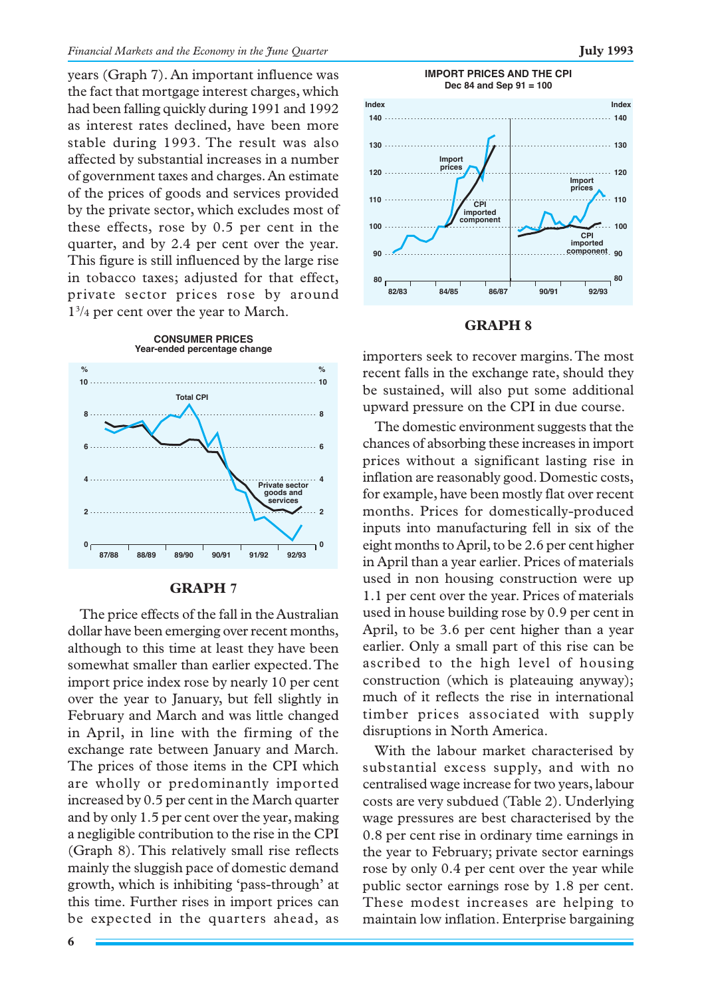years (Graph 7). An important influence was the fact that mortgage interest charges, which had been falling quickly during 1991 and 1992 as interest rates declined, have been more stable during 1993. The result was also affected by substantial increases in a number of government taxes and charges. An estimate of the prices of goods and services provided by the private sector, which excludes most of these effects, rose by 0.5 per cent in the quarter, and by 2.4 per cent over the year. This figure is still influenced by the large rise in tobacco taxes; adjusted for that effect, private sector prices rose by around 13 /4 per cent over the year to March.



# **GRAPH 7**

The price effects of the fall in the Australian dollar have been emerging over recent months, although to this time at least they have been somewhat smaller than earlier expected. The import price index rose by nearly 10 per cent over the year to January, but fell slightly in February and March and was little changed in April, in line with the firming of the exchange rate between January and March. The prices of those items in the CPI which are wholly or predominantly imported increased by 0.5 per cent in the March quarter and by only 1.5 per cent over the year, making a negligible contribution to the rise in the CPI (Graph 8). This relatively small rise reflects mainly the sluggish pace of domestic demand growth, which is inhibiting 'pass-through' at this time. Further rises in import prices can be expected in the quarters ahead, as



#### **GRAPH 8**

importers seek to recover margins. The most recent falls in the exchange rate, should they be sustained, will also put some additional upward pressure on the CPI in due course.

The domestic environment suggests that the chances of absorbing these increases in import prices without a significant lasting rise in inflation are reasonably good. Domestic costs, for example, have been mostly flat over recent months. Prices for domestically-produced inputs into manufacturing fell in six of the eight months to April, to be 2.6 per cent higher in April than a year earlier. Prices of materials used in non housing construction were up 1.1 per cent over the year. Prices of materials used in house building rose by 0.9 per cent in April, to be 3.6 per cent higher than a year earlier. Only a small part of this rise can be ascribed to the high level of housing construction (which is plateauing anyway); much of it reflects the rise in international timber prices associated with supply disruptions in North America.

With the labour market characterised by substantial excess supply, and with no centralised wage increase for two years, labour costs are very subdued (Table 2). Underlying wage pressures are best characterised by the 0.8 per cent rise in ordinary time earnings in the year to February; private sector earnings rose by only 0.4 per cent over the year while public sector earnings rose by 1.8 per cent. These modest increases are helping to maintain low inflation. Enterprise bargaining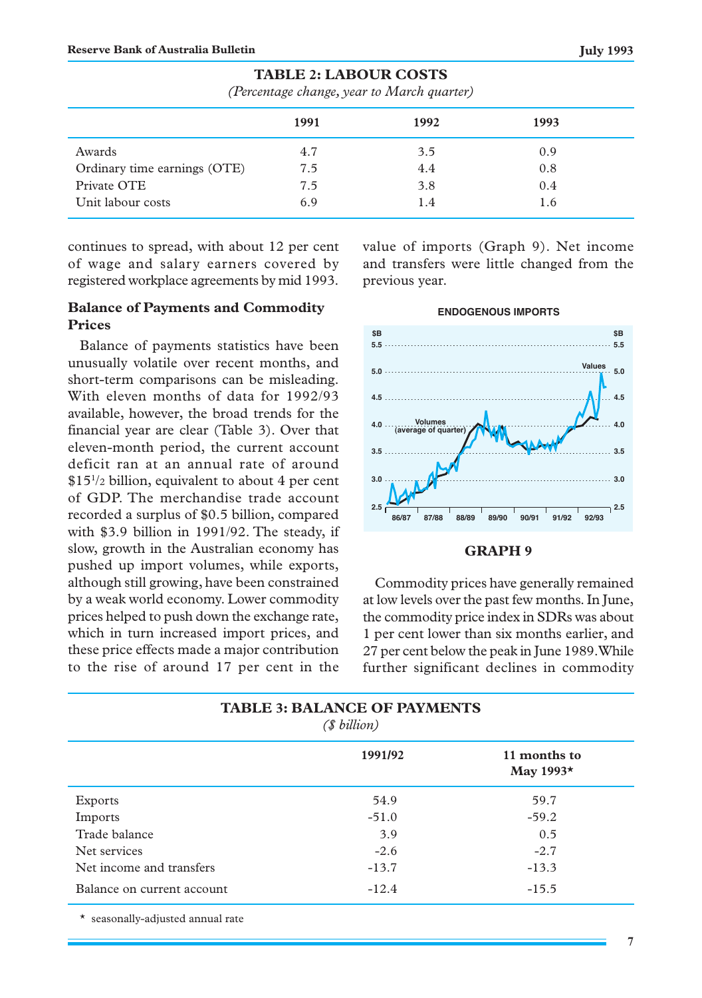|                              | 1991 | 1992 | 1993 |
|------------------------------|------|------|------|
| Awards                       | 4.7  | 3.5  | 0.9  |
| Ordinary time earnings (OTE) | 7.5  | 4.4  | 0.8  |
| Private OTE                  | 7.5  | 3.8  | 0.4  |
| Unit labour costs            | 6.9  | 1.4  | 1.6  |

# **TABLE 2: LABOUR COSTS**

*(Percentage change, year to March quarter)*

continues to spread, with about 12 per cent of wage and salary earners covered by registered workplace agreements by mid 1993.

# **Balance of Payments and Commodity Prices**

Balance of payments statistics have been unusually volatile over recent months, and short-term comparisons can be misleading. With eleven months of data for 1992/93 available, however, the broad trends for the financial year are clear (Table 3). Over that eleven-month period, the current account deficit ran at an annual rate of around \$151 /2 billion, equivalent to about 4 per cent of GDP. The merchandise trade account recorded a surplus of \$0.5 billion, compared with \$3.9 billion in 1991/92. The steady, if slow, growth in the Australian economy has pushed up import volumes, while exports, although still growing, have been constrained by a weak world economy. Lower commodity prices helped to push down the exchange rate, which in turn increased import prices, and these price effects made a major contribution to the rise of around 17 per cent in the value of imports (Graph 9). Net income and transfers were little changed from the previous year.



# **GRAPH 9**

Commodity prices have generally remained at low levels over the past few months. In June, the commodity price index in SDRs was about 1 per cent lower than six months earlier, and 27 per cent below the peak in June 1989. While further significant declines in commodity

| <b>TABLE 3: BALANCE OF PAYMENTS</b><br>(\$ billion) |         |                                  |  |  |
|-----------------------------------------------------|---------|----------------------------------|--|--|
|                                                     | 1991/92 | 11 months to<br>May 1993 $\star$ |  |  |
| Exports                                             | 54.9    | 59.7                             |  |  |
| Imports                                             | $-51.0$ | $-59.2$                          |  |  |
| Trade balance                                       | 3.9     | 0.5                              |  |  |
| Net services                                        | $-2.6$  | $-2.7$                           |  |  |
| Net income and transfers                            | $-13.7$ | $-13.3$                          |  |  |
| Balance on current account                          | $-12.4$ | $-15.5$                          |  |  |

\* seasonally-adjusted annual rate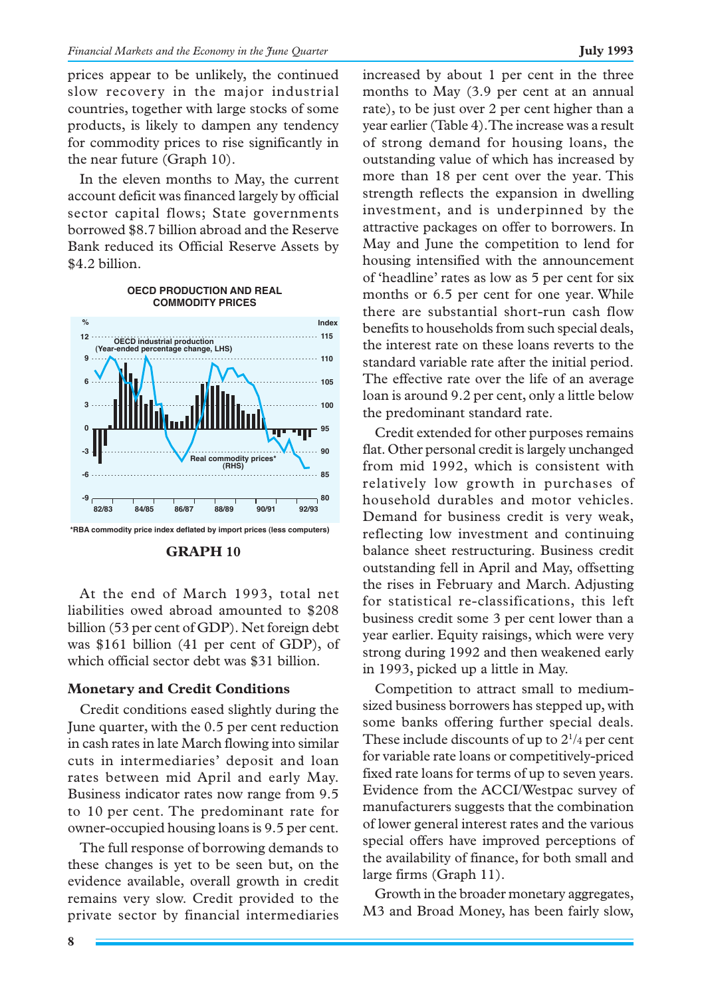prices appear to be unlikely, the continued slow recovery in the major industrial countries, together with large stocks of some products, is likely to dampen any tendency for commodity prices to rise significantly in the near future (Graph 10).

In the eleven months to May, the current account deficit was financed largely by official sector capital flows; State governments borrowed \$8.7 billion abroad and the Reserve Bank reduced its Official Reserve Assets by \$4.2 billion.

**OECD PRODUCTION AND REAL**

#### **COMMODITY PRICES % Index 12 115 OECD industrial production (Year-ended percentage change, LHS) 9 110 6 105 100 3 0 95** тm **-3 90 Real commodity prices\* (RHS)**

**82/83 84/85 86/87 88/89 90/91 92/93 \*RBA commodity price index deflated by import prices (less computers)**

**80 85**



At the end of March 1993, total net liabilities owed abroad amounted to \$208 billion (53 per cent of GDP). Net foreign debt was \$161 billion (41 per cent of GDP), of which official sector debt was \$31 billion.

# **Monetary and Credit Conditions**

Credit conditions eased slightly during the June quarter, with the 0.5 per cent reduction in cash rates in late March flowing into similar cuts in intermediaries' deposit and loan rates between mid April and early May. Business indicator rates now range from 9.5 to 10 per cent. The predominant rate for owner-occupied housing loans is 9.5 per cent.

The full response of borrowing demands to these changes is yet to be seen but, on the evidence available, overall growth in credit remains very slow. Credit provided to the private sector by financial intermediaries

**-9 -6** increased by about 1 per cent in the three months to May (3.9 per cent at an annual rate), to be just over 2 per cent higher than a year earlier (Table 4). The increase was a result of strong demand for housing loans, the outstanding value of which has increased by more than 18 per cent over the year. This strength reflects the expansion in dwelling investment, and is underpinned by the attractive packages on offer to borrowers. In May and June the competition to lend for housing intensified with the announcement of 'headline' rates as low as 5 per cent for six months or 6.5 per cent for one year. While there are substantial short-run cash flow benefits to households from such special deals, the interest rate on these loans reverts to the standard variable rate after the initial period. The effective rate over the life of an average loan is around 9.2 per cent, only a little below the predominant standard rate.

Credit extended for other purposes remains flat. Other personal credit is largely unchanged from mid 1992, which is consistent with relatively low growth in purchases of household durables and motor vehicles. Demand for business credit is very weak, reflecting low investment and continuing balance sheet restructuring. Business credit outstanding fell in April and May, offsetting the rises in February and March. Adjusting for statistical re-classifications, this left business credit some 3 per cent lower than a year earlier. Equity raisings, which were very strong during 1992 and then weakened early in 1993, picked up a little in May.

Competition to attract small to mediumsized business borrowers has stepped up, with some banks offering further special deals. These include discounts of up to  $2^{1/4}$  per cent for variable rate loans or competitively-priced fixed rate loans for terms of up to seven years. Evidence from the ACCI/Westpac survey of manufacturers suggests that the combination of lower general interest rates and the various special offers have improved perceptions of the availability of finance, for both small and large firms (Graph 11).

Growth in the broader monetary aggregates, M3 and Broad Money, has been fairly slow,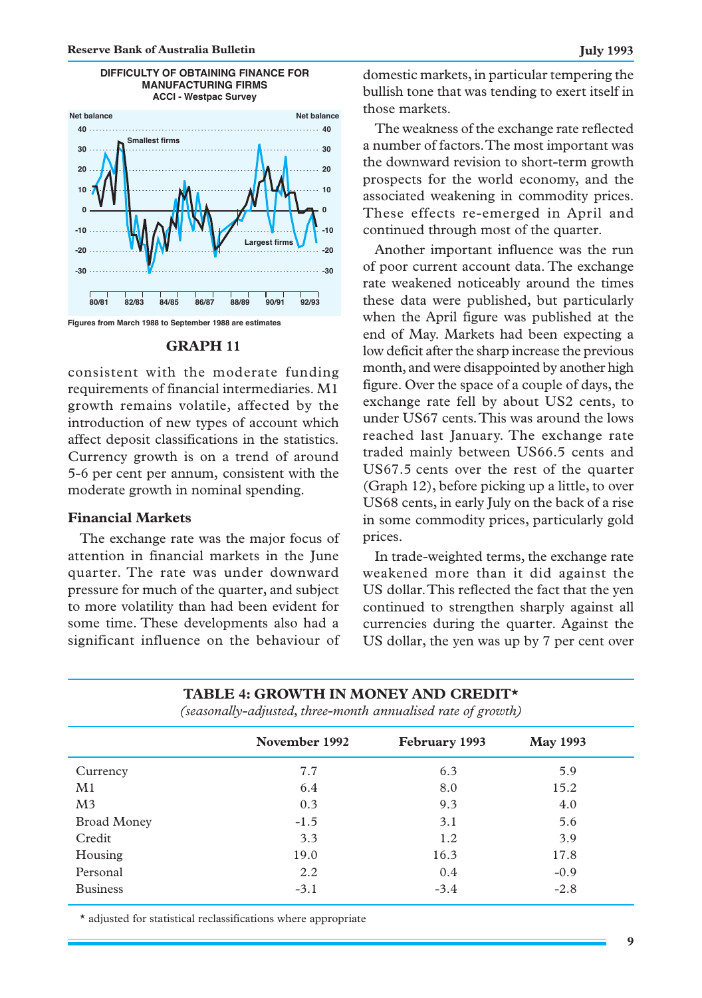

# **DIFFICULTY OF OBTAINING FINANCE FOR MANUFACTURING FIRMS**

#### **GRAPH 11**

consistent with the moderate funding requirements of financial intermediaries. M1 growth remains volatile, affected by the introduction of new types of account which affect deposit classifications in the statistics. Currency growth is on a trend of around 5-6 per cent per annum, consistent with the moderate growth in nominal spending.

# **Financial Markets**

The exchange rate was the major focus of attention in financial markets in the June quarter. The rate was under downward pressure for much of the quarter, and subject to more volatility than had been evident for some time. These developments also had a significant influence on the behaviour of domestic markets, in particular tempering the bullish tone that was tending to exert itself in those markets.

The weakness of the exchange rate reflected a number of factors. The most important was the downward revision to short-term growth prospects for the world economy, and the associated weakening in commodity prices. These effects re-emerged in April and continued through most of the quarter.

Another important influence was the run of poor current account data. The exchange rate weakened noticeably around the times these data were published, but particularly when the April figure was published at the end of May. Markets had been expecting a low deficit after the sharp increase the previous month, and were disappointed by another high figure. Over the space of a couple of days, the exchange rate fell by about US2 cents, to under US67 cents. This was around the lows reached last January. The exchange rate traded mainly between US66.5 cents and US67.5 cents over the rest of the quarter (Graph 12), before picking up a little, to over US68 cents, in early July on the back of a rise in some commodity prices, particularly gold prices.

In trade-weighted terms, the exchange rate weakened more than it did against the US dollar. This reflected the fact that the yen continued to strengthen sharply against all currencies during the quarter. Against the US dollar, the yen was up by 7 per cent over

| (seasonaily-aajustea, inree-monin annualisea rate of growth) |               |               |                 |  |  |
|--------------------------------------------------------------|---------------|---------------|-----------------|--|--|
|                                                              | November 1992 | February 1993 | <b>May 1993</b> |  |  |
| Currency                                                     | 7.7           | 6.3           | 5.9             |  |  |
| M1                                                           | 6.4           | 8.0           | 15.2            |  |  |
| M <sub>3</sub>                                               | 0.3           | 9.3           | 4.0             |  |  |
| <b>Broad Money</b>                                           | $-1.5$        | 3.1           | 5.6             |  |  |
| Credit                                                       | 3.3           | 1.2           | 3.9             |  |  |
| Housing                                                      | 19.0          | 16.3          | 17.8            |  |  |
| Personal                                                     | 2.2           | 0.4           | $-0.9$          |  |  |
| <b>Business</b>                                              | $-3.1$        | $-3.4$        | $-2.8$          |  |  |

**TABLE 4: GROWTH IN MONEY AND CREDIT\*** *(seasonally-adjusted, three-month annualised rate of growth)*

\* adjusted for statistical reclassifications where appropriate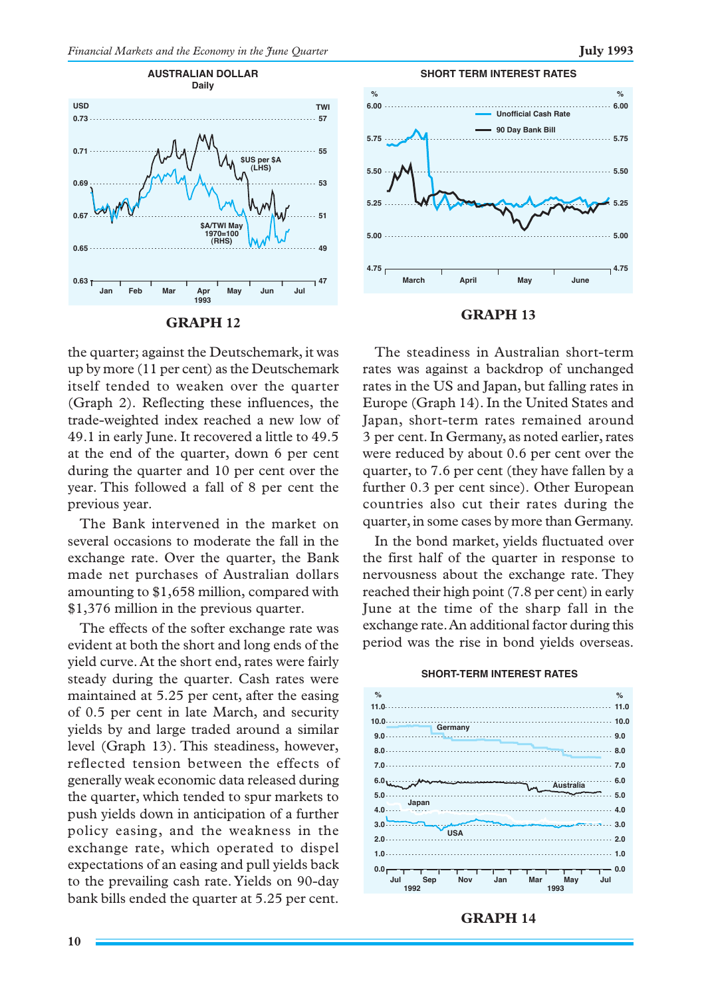



# **GRAPH 12**

the quarter; against the Deutschemark, it was up by more (11 per cent) as the Deutschemark itself tended to weaken over the quarter (Graph 2). Reflecting these influences, the trade-weighted index reached a new low of 49.1 in early June. It recovered a little to 49.5 at the end of the quarter, down 6 per cent during the quarter and 10 per cent over the year. This followed a fall of 8 per cent the previous year.

The Bank intervened in the market on several occasions to moderate the fall in the exchange rate. Over the quarter, the Bank made net purchases of Australian dollars amounting to \$1,658 million, compared with \$1,376 million in the previous quarter.

The effects of the softer exchange rate was evident at both the short and long ends of the yield curve. At the short end, rates were fairly steady during the quarter. Cash rates were maintained at 5.25 per cent, after the easing of 0.5 per cent in late March, and security yields by and large traded around a similar level (Graph 13). This steadiness, however, reflected tension between the effects of generally weak economic data released during the quarter, which tended to spur markets to push yields down in anticipation of a further policy easing, and the weakness in the exchange rate, which operated to dispel expectations of an easing and pull yields back to the prevailing cash rate. Yields on 90-day bank bills ended the quarter at 5.25 per cent.



#### **GRAPH 13**

The steadiness in Australian short-term rates was against a backdrop of unchanged rates in the US and Japan, but falling rates in Europe (Graph 14). In the United States and Japan, short-term rates remained around 3 per cent. In Germany, as noted earlier, rates were reduced by about 0.6 per cent over the quarter, to 7.6 per cent (they have fallen by a further 0.3 per cent since). Other European countries also cut their rates during the quarter, in some cases by more than Germany.

In the bond market, yields fluctuated over the first half of the quarter in response to nervousness about the exchange rate. They reached their high point (7.8 per cent) in early June at the time of the sharp fall in the exchange rate. An additional factor during this period was the rise in bond yields overseas.

#### **SHORT-TERM INTEREST RATES**



### **GRAPH 14**